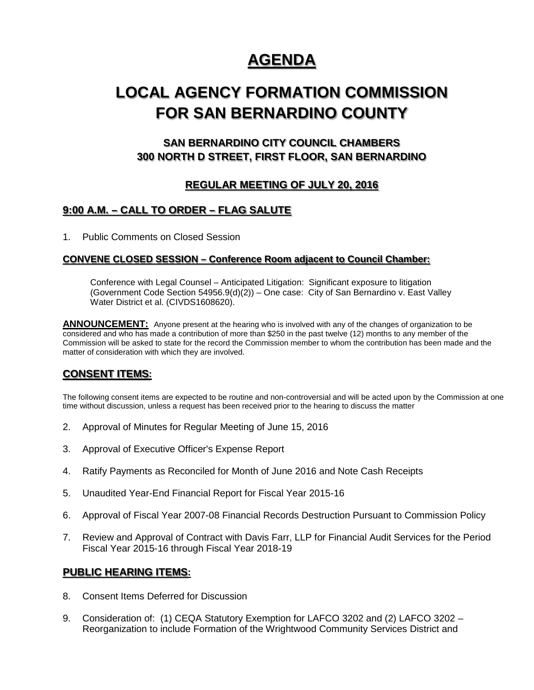# **AGENDA**

# **LOCAL AGENCY FORMATION COMMISSION FOR SAN BERNARDINO COUNTY**

# **SAN BERNARDINO CITY COUNCIL CHAMBERS 300 NORTH D STREET, FIRST FLOOR, SAN BERNARDINO**

# **REGULAR MEETING OF JULY 20, 2016**

## **9:00 A.M. – CALL TO ORDER – FLAG SALUTE**

1. Public Comments on Closed Session

#### **CONVENE CLOSED SESSION – Conference Room adjacent to Council Chamber:**

Conference with Legal Counsel – Anticipated Litigation: Significant exposure to litigation (Government Code Section  $54956.9(d)(2)$ ) – One case: City of San Bernardino v. East Valley Water District et al. (CIVDS1608620).

**ANNOUNCEMENT:** Anyone present at the hearing who is involved with any of the changes of organization to be considered and who has made a contribution of more than \$250 in the past twelve (12) months to any member of the Commission will be asked to state for the record the Commission member to whom the contribution has been made and the matter of consideration with which they are involved.

## **CONSENT ITEMS:**

The following consent items are expected to be routine and non-controversial and will be acted upon by the Commission at one time without discussion, unless a request has been received prior to the hearing to discuss the matter

- 2. Approval of Minutes for Regular Meeting of June 15, 2016
- 3. Approval of Executive Officer's Expense Report
- 4. Ratify Payments as Reconciled for Month of June 2016 and Note Cash Receipts
- 5. Unaudited Year-End Financial Report for Fiscal Year 2015-16
- 6. Approval of Fiscal Year 2007-08 Financial Records Destruction Pursuant to Commission Policy
- 7. Review and Approval of Contract with Davis Farr, LLP for Financial Audit Services for the Period Fiscal Year 2015-16 through Fiscal Year 2018-19

#### **PUBLIC HEARING ITEMS:**

- 8. Consent Items Deferred for Discussion
- 9. Consideration of: (1) CEQA Statutory Exemption for LAFCO 3202 and (2) LAFCO 3202 Reorganization to include Formation of the Wrightwood Community Services District and